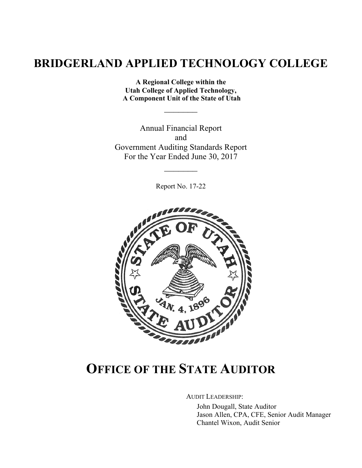**A Regional College within the Utah College of Applied Technology, A Component Unit of the State of Utah**

 $\mathcal{L}_\text{max}$ 

Annual Financial Report and Government Auditing Standards Report For the Year Ended June 30, 2017

Report No. 17-22

 $\frac{1}{2}$ 



# **OFFICE OF THE STATE AUDITOR**

AUDIT LEADERSHIP:

John Dougall, State Auditor Jason Allen, CPA, CFE, Senior Audit Manager Chantel Wixon, Audit Senior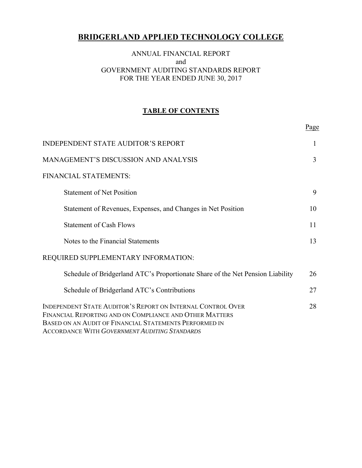# ANNUAL FINANCIAL REPORT and GOVERNMENT AUDITING STANDARDS REPORT FOR THE YEAR ENDED JUNE 30, 2017

# **TABLE OF CONTENTS**

Page

| <b>INDEPENDENT STATE AUDITOR'S REPORT</b>                                                                                                                                                                                                       | 1  |
|-------------------------------------------------------------------------------------------------------------------------------------------------------------------------------------------------------------------------------------------------|----|
| MANAGEMENT'S DISCUSSION AND ANALYSIS                                                                                                                                                                                                            | 3  |
| FINANCIAL STATEMENTS:                                                                                                                                                                                                                           |    |
| <b>Statement of Net Position</b>                                                                                                                                                                                                                | 9  |
| Statement of Revenues, Expenses, and Changes in Net Position                                                                                                                                                                                    | 10 |
| <b>Statement of Cash Flows</b>                                                                                                                                                                                                                  | 11 |
| Notes to the Financial Statements                                                                                                                                                                                                               | 13 |
| REQUIRED SUPPLEMENTARY INFORMATION:                                                                                                                                                                                                             |    |
| Schedule of Bridgerland ATC's Proportionate Share of the Net Pension Liability                                                                                                                                                                  | 26 |
| Schedule of Bridgerland ATC's Contributions                                                                                                                                                                                                     | 27 |
| <b>INDEPENDENT STATE AUDITOR'S REPORT ON INTERNAL CONTROL OVER</b><br>FINANCIAL REPORTING AND ON COMPLIANCE AND OTHER MATTERS<br>BASED ON AN AUDIT OF FINANCIAL STATEMENTS PERFORMED IN<br><b>ACCORDANCE WITH GOVERNMENT AUDITING STANDARDS</b> | 28 |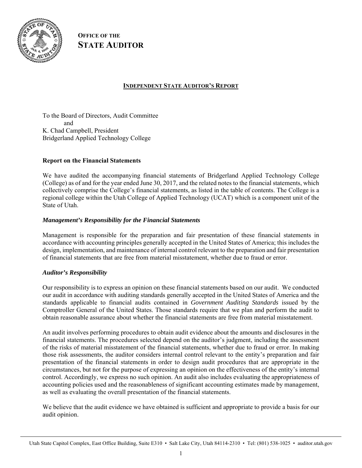

**OFFICE OF THE STATE AUDITOR**

# **INDEPENDENT STATE AUDITOR'S REPORT**

To the Board of Directors, Audit Committee and K. Chad Campbell, President Bridgerland Applied Technology College

### **Report on the Financial Statements**

We have audited the accompanying financial statements of Bridgerland Applied Technology College (College) as of and for the year ended June 30, 2017, and the related notes to the financial statements, which collectively comprise the College's financial statements, as listed in the table of contents. The College is a regional college within the Utah College of Applied Technology (UCAT) which is a component unit of the State of Utah.

### *Management's Responsibility for the Financial Statements*

Management is responsible for the preparation and fair presentation of these financial statements in accordance with accounting principles generally accepted in the United States of America; this includes the design, implementation, and maintenance of internal control relevant to the preparation and fair presentation of financial statements that are free from material misstatement, whether due to fraud or error.

### *Auditor's Responsibility*

Our responsibility is to express an opinion on these financial statements based on our audit. We conducted our audit in accordance with auditing standards generally accepted in the United States of America and the standards applicable to financial audits contained in *Government Auditing Standards* issued by the Comptroller General of the United States. Those standards require that we plan and perform the audit to obtain reasonable assurance about whether the financial statements are free from material misstatement.

An audit involves performing procedures to obtain audit evidence about the amounts and disclosures in the financial statements. The procedures selected depend on the auditor's judgment, including the assessment of the risks of material misstatement of the financial statements, whether due to fraud or error. In making those risk assessments, the auditor considers internal control relevant to the entity's preparation and fair presentation of the financial statements in order to design audit procedures that are appropriate in the circumstances, but not for the purpose of expressing an opinion on the effectiveness of the entity's internal control. Accordingly, we express no such opinion. An audit also includes evaluating the appropriateness of accounting policies used and the reasonableness of significant accounting estimates made by management, as well as evaluating the overall presentation of the financial statements.

We believe that the audit evidence we have obtained is sufficient and appropriate to provide a basis for our audit opinion.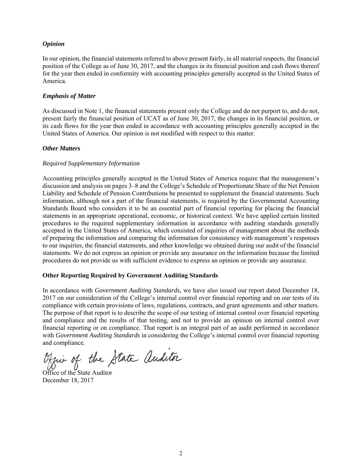### *Opinion*

In our opinion, the financial statements referred to above present fairly, in all material respects, the financial position of the College as of June 30, 2017, and the changes in its financial position and cash flows thereof for the year then ended in conformity with accounting principles generally accepted in the United States of America.

#### *Emphasis of Matter*

As discussed in Note 1, the financial statements present only the College and do not purport to, and do not, present fairly the financial position of UCAT as of June 30, 2017, the changes in its financial position, or its cash flows for the year then ended in accordance with accounting principles generally accepted in the United States of America. Our opinion is not modified with respect to this matter.

#### *Other Matters*

#### *Required Supplementary Information*

Accounting principles generally accepted in the United States of America require that the management's discussion and analysis on pages 3–8 and the College's Schedule of Proportionate Share of the Net Pension Liability and Schedule of Pension Contributions be presented to supplement the financial statements. Such information, although not a part of the financial statements, is required by the Governmental Accounting Standards Board who considers it to be an essential part of financial reporting for placing the financial statements in an appropriate operational, economic, or historical context. We have applied certain limited procedures to the required supplementary information in accordance with auditing standards generally accepted in the United States of America, which consisted of inquiries of management about the methods of preparing the information and comparing the information for consistency with management's responses to our inquiries, the financial statements, and other knowledge we obtained during our audit of the financial statements. We do not express an opinion or provide any assurance on the information because the limited procedures do not provide us with sufficient evidence to express an opinion or provide any assurance.

### **Other Reporting Required by Government Auditing Standards**

In accordance with *Government Auditing Standards*, we have also issued our report dated December 18, 2017 on our consideration of the College's internal control over financial reporting and on our tests of its compliance with certain provisions of laws, regulations, contracts, and grant agreements and other matters. The purpose of that report is to describe the scope of our testing of internal control over financial reporting and compliance and the results of that testing, and not to provide an opinion on internal control over financial reporting or on compliance. That report is an integral part of an audit performed in accordance with *Government Auditing Standards* in considering the College's internal control over financial reporting and compliance.

Office of the State Auditor

December 18, 2017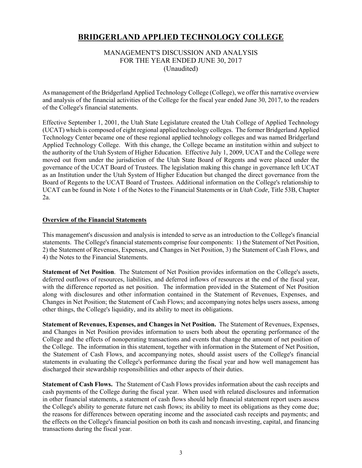### MANAGEMENT'S DISCUSSION AND ANALYSIS FOR THE YEAR ENDED JUNE 30, 2017 (Unaudited)

As management of the Bridgerland Applied Technology College (College), we offer this narrative overview and analysis of the financial activities of the College for the fiscal year ended June 30, 2017, to the readers of the College's financial statements.

Effective September 1, 2001, the Utah State Legislature created the Utah College of Applied Technology (UCAT) which is composed of eight regional applied technology colleges. The former Bridgerland Applied Technology Center became one of these regional applied technology colleges and was named Bridgerland Applied Technology College. With this change, the College became an institution within and subject to the authority of the Utah System of Higher Education. Effective July 1, 2009, UCAT and the College were moved out from under the jurisdiction of the Utah State Board of Regents and were placed under the governance of the UCAT Board of Trustees. The legislation making this change in governance left UCAT as an Institution under the Utah System of Higher Education but changed the direct governance from the Board of Regents to the UCAT Board of Trustees. Additional information on the College's relationship to UCAT can be found in Note 1 of the Notes to the Financial Statements or in *Utah Code,* Title 53B, Chapter 2a.

#### **Overview of the Financial Statements**

This management's discussion and analysis is intended to serve as an introduction to the College's financial statements. The College's financial statements comprise four components: 1) the Statement of Net Position, 2) the Statement of Revenues, Expenses, and Changes in Net Position, 3) the Statement of Cash Flows, and 4) the Notes to the Financial Statements.

**Statement of Net Position**. The Statement of Net Position provides information on the College's assets, deferred outflows of resources, liabilities, and deferred inflows of resources at the end of the fiscal year, with the difference reported as net position. The information provided in the Statement of Net Position along with disclosures and other information contained in the Statement of Revenues, Expenses, and Changes in Net Position; the Statement of Cash Flows; and accompanying notes helps users assess, among other things, the College's liquidity, and its ability to meet its obligations.

**Statement of Revenues, Expenses, and Changes in Net Position.** The Statement of Revenues, Expenses, and Changes in Net Position provides information to users both about the operating performance of the College and the effects of nonoperating transactions and events that change the amount of net position of the College. The information in this statement, together with information in the Statement of Net Position, the Statement of Cash Flows, and accompanying notes, should assist users of the College's financial statements in evaluating the College's performance during the fiscal year and how well management has discharged their stewardship responsibilities and other aspects of their duties.

**Statement of Cash Flows.** The Statement of Cash Flows provides information about the cash receipts and cash payments of the College during the fiscal year. When used with related disclosures and information in other financial statements, a statement of cash flows should help financial statement report users assess the College's ability to generate future net cash flows; its ability to meet its obligations as they come due; the reasons for differences between operating income and the associated cash receipts and payments; and the effects on the College's financial position on both its cash and noncash investing, capital, and financing transactions during the fiscal year.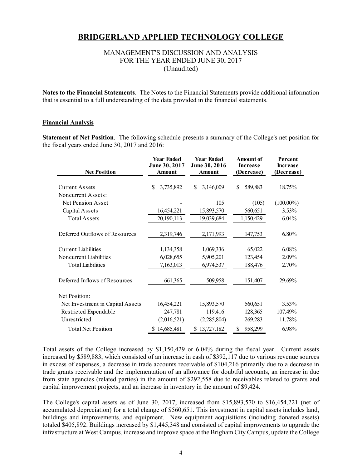### MANAGEMENT'S DISCUSSION AND ANALYSIS FOR THE YEAR ENDED JUNE 30, 2017 (Unaudited)

**Notes to the Financial Statements**. The Notes to the Financial Statements provide additional information that is essential to a full understanding of the data provided in the financial statements.

#### **Financial Analysis**

**Statement of Net Position**. The following schedule presents a summary of the College's net position for the fiscal years ended June 30, 2017 and 2016:

| <b>Net Position</b>              | <b>Year Ended</b><br>June 30, 2017<br><b>Amount</b> | <b>Year Ended</b><br>June 30, 2016<br><b>Amount</b> | <b>Amount of</b><br><b>Increase</b><br>(Decrease) | Percent<br><b>Increase</b><br>(Decrease) |
|----------------------------------|-----------------------------------------------------|-----------------------------------------------------|---------------------------------------------------|------------------------------------------|
| <b>Current Assets</b>            | \$<br>3,735,892                                     | \$<br>3,146,009                                     | \$<br>589,883                                     | 18.75%                                   |
| Noncurrent Assets:               |                                                     |                                                     |                                                   |                                          |
| Net Pension Asset                |                                                     | 105                                                 | (105)                                             |                                          |
|                                  |                                                     |                                                     |                                                   | $(100.00\%)$                             |
| Capital Assets                   | 16,454,221                                          | 15,893,570                                          | 560,651                                           | 3.53%                                    |
| <b>Total Assets</b>              | 20,190,113                                          | 19,039,684                                          | 1,150,429                                         | 6.04%                                    |
| Deferred Outflows of Resources   | 2,319,746                                           | 2,171,993                                           | 147,753                                           | $6.80\%$                                 |
| <b>Current Liabilities</b>       | 1,134,358                                           | 1,069,336                                           | 65,022                                            | 6.08%                                    |
| Noncurrent Liabilities           | 6,028,655                                           | 5,905,201                                           | 123,454                                           | 2.09%                                    |
| <b>Total Liabilities</b>         | 7,163,013                                           | 6,974,537                                           | 188,476                                           | 2.70%                                    |
| Deferred Inflows of Resources    | 661,365                                             | 509,958                                             | 151,407                                           | 29.69%                                   |
| Net Position:                    |                                                     |                                                     |                                                   |                                          |
| Net Investment in Capital Assets | 16,454,221                                          | 15,893,570                                          | 560,651                                           | $3.53\%$                                 |
| Restricted Expendable            | 247,781                                             | 119,416                                             | 128,365                                           | 107.49%                                  |
| Unrestricted                     | (2,016,521)                                         | (2,285,804)                                         | 269,283                                           | 11.78%                                   |
| <b>Total Net Position</b>        | 14,685,481<br>S.                                    | 13,727,182<br>S.                                    | \$<br>958,299                                     | 6.98%                                    |

Total assets of the College increased by \$1,150,429 or 6.04% during the fiscal year. Current assets increased by \$589,883, which consisted of an increase in cash of \$392,117 due to various revenue sources in excess of expenses, a decrease in trade accounts receivable of \$104,216 primarily due to a decrease in trade grants receivable and the implementation of an allowance for doubtful accounts, an increase in due from state agencies (related parties) in the amount of \$292,558 due to receivables related to grants and capital improvement projects, and an increase in inventory in the amount of \$9,424.

The College's capital assets as of June 30, 2017, increased from \$15,893,570 to \$16,454,221 (net of accumulated depreciation) for a total change of \$560,651. This investment in capital assets includes land, buildings and improvements, and equipment. New equipment acquisitions (including donated assets) totaled \$405,892. Buildings increased by \$1,445,348 and consisted of capital improvements to upgrade the infrastructure at West Campus, increase and improve space at the Brigham City Campus, update the College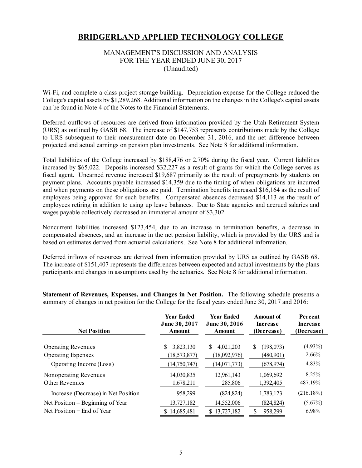### MANAGEMENT'S DISCUSSION AND ANALYSIS FOR THE YEAR ENDED JUNE 30, 2017 (Unaudited)

Wi-Fi, and complete a class project storage building. Depreciation expense for the College reduced the College's capital assets by \$1,289,268. Additional information on the changes in the College's capital assets can be found in Note 4 of the Notes to the Financial Statements.

Deferred outflows of resources are derived from information provided by the Utah Retirement System (URS) as outlined by GASB 68. The increase of \$147,753 represents contributions made by the College to URS subsequent to their measurement date on December 31, 2016, and the net difference between projected and actual earnings on pension plan investments. See Note 8 for additional information.

Total liabilities of the College increased by \$188,476 or 2.70% during the fiscal year. Current liabilities increased by \$65,022. Deposits increased \$32,227 as a result of grants for which the College serves as fiscal agent. Unearned revenue increased \$19,687 primarily as the result of prepayments by students on payment plans. Accounts payable increased \$14,359 due to the timing of when obligations are incurred and when payments on these obligations are paid. Termination benefits increased \$16,164 as the result of employees being approved for such benefits. Compensated absences decreased \$14,113 as the result of employees retiring in addition to using up leave balances. Due to State agencies and accrued salaries and wages payable collectively decreased an immaterial amount of \$3,302.

Noncurrent liabilities increased \$123,454, due to an increase in termination benefits, a decrease in compensated absences, and an increase in the net pension liability, which is provided by the URS and is based on estimates derived from actuarial calculations. See Note 8 for additional information.

Deferred inflows of resources are derived from information provided by URS as outlined by GASB 68. The increase of \$151,407 represents the differences between expected and actual investments by the plans participants and changes in assumptions used by the actuaries. See Note 8 for additional information.

**Statement of Revenues, Expenses, and Changes in Net Position.** The following schedule presents a summary of changes in net position for the College for the fiscal years ended June 30, 2017 and 2016:

| <b>Net Position</b>                 | <b>Year Ended</b><br>June 30, 2017<br><b>Amount</b> | <b>Year Ended</b><br><b>June 30, 2016</b><br><b>Amount</b> | <b>Amount of</b><br><b>Increase</b><br>(Decrease) | Percent<br><b>Increase</b><br>(Decrease) |
|-------------------------------------|-----------------------------------------------------|------------------------------------------------------------|---------------------------------------------------|------------------------------------------|
| <b>Operating Revenues</b>           | 3,823,130                                           | 4.021.203<br>S.                                            | S<br>(198,073)                                    | $(4.93\%)$                               |
| <b>Operating Expenses</b>           | (18, 573, 877)                                      | (18,092,976)                                               | (480,901)                                         | 2.66%                                    |
| Operating Income (Loss)             | (14,750,747)                                        | (14,071,773)                                               | (678, 974)                                        | 4.83%                                    |
| Nonoperating Revenues               | 14,030,835                                          | 12.961.143                                                 | 1,069,692                                         | 8.25%                                    |
| <b>Other Revenues</b>               | 1,678,211                                           | 285,806                                                    | 1,392,405                                         | 487.19%                                  |
| Increase (Decrease) in Net Position | 958,299                                             | (824, 824)                                                 | 1,783,123                                         | $(216.18\%)$                             |
| Net Position – Beginning of Year    | 13,727,182                                          | 14,552,006                                                 | (824, 824)                                        | $(5.67\%)$                               |
| Net Position $-$ End of Year        | 14,685,481<br>S.                                    | \$13,727,182                                               | 958,299                                           | 6.98%                                    |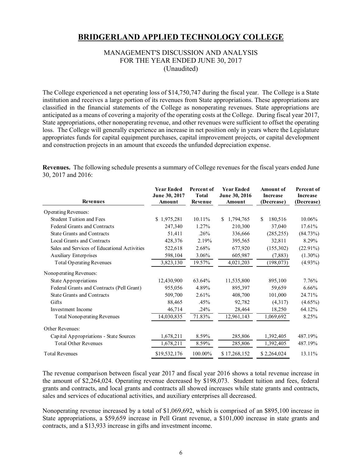### MANAGEMENT'S DISCUSSION AND ANALYSIS FOR THE YEAR ENDED JUNE 30, 2017 (Unaudited)

The College experienced a net operating loss of \$14,750,747 during the fiscal year. The College is a State institution and receives a large portion of its revenues from State appropriations. These appropriations are classified in the financial statements of the College as nonoperating revenues. State appropriations are anticipated as a means of covering a majority of the operating costs at the College. During fiscal year 2017, State appropriations, other nonoperating revenue, and other revenues were sufficient to offset the operating loss. The College will generally experience an increase in net position only in years where the Legislature appropriates funds for capital equipment purchases, capital improvement projects, or capital development and construction projects in an amount that exceeds the unfunded depreciation expense.

**Revenues.** The following schedule presents a summary of College revenues for the fiscal years ended June 30, 2017 and 2016:

| <b>Revenues</b>                              | <b>Year Ended</b><br>June 30, 2017<br>Amount | Percent of<br><b>Total</b><br>Revenue | <b>Year Ended</b><br>June 30, 2016<br>Amount | <b>Amount of</b><br><b>Increase</b><br>(Decrease) | Percent of<br><b>Increase</b><br>(Decrease) |
|----------------------------------------------|----------------------------------------------|---------------------------------------|----------------------------------------------|---------------------------------------------------|---------------------------------------------|
| Operating Revenues:                          |                                              |                                       |                                              |                                                   |                                             |
| <b>Student Tuition and Fees</b>              | \$1,975,281                                  | 10.11%                                | 1,794,765<br>\$.                             | 180,516<br>S.                                     | 10.06%                                      |
| Federal Grants and Contracts                 | 247,340                                      | 1.27%                                 | 210,300                                      | 37,040                                            | 17.61%                                      |
| <b>State Grants and Contracts</b>            | 51,411                                       | .26%                                  | 336,666                                      | (285, 255)                                        | (84.73%)                                    |
| Local Grants and Contracts                   | 428,376                                      | 2.19%                                 | 395,565                                      | 32,811                                            | 8.29%                                       |
| Sales and Services of Educational Activities | 522,618                                      | 2.68%                                 | 677,920                                      | (155,302)                                         | $(22.91\%)$                                 |
| Auxiliary Enterprises                        | 598,104                                      | 3.06%                                 | 605,987                                      | (7,883)                                           | $(1.30\%)$                                  |
| <b>Total Operating Revenues</b>              | 3,823,130                                    | 19.57%                                | 4,021,203                                    | (198, 073)                                        | $(4.93\%)$                                  |
| Nonoperating Revenues:                       |                                              |                                       |                                              |                                                   |                                             |
| State Appropriations                         | 12,430,900                                   | 63.64%                                | 11,535,800                                   | 895,100                                           | 7.76%                                       |
| Federal Grants and Contracts (Pell Grant)    | 955,056                                      | 4.89%                                 | 895,397                                      | 59,659                                            | 6.66%                                       |
| <b>State Grants and Contracts</b>            | 509,700                                      | 2.61%                                 | 408,700                                      | 101,000                                           | 24.71%                                      |
| Gifts                                        | 88,465                                       | .45%                                  | 92,782                                       | (4,317)                                           | $(4.65\%)$                                  |
| Investment Income                            | 46,714                                       | .24%                                  | 28,464                                       | 18,250                                            | 64.12%                                      |
| <b>Total Nonoperating Revenues</b>           | 14,030,835                                   | 71.83%                                | 12,961,143                                   | 1,069,692                                         | 8.25%                                       |
| Other Revenues:                              |                                              |                                       |                                              |                                                   |                                             |
| Capital Appropriations - State Sources       | 1,678,211                                    | 8.59%                                 | 285,806                                      | 1,392,405                                         | 487.19%                                     |
| <b>Total Other Revenues</b>                  | 1,678,211                                    | 8.59%                                 | 285,806                                      | 1,392,405                                         | 487.19%                                     |
| <b>Total Revenues</b>                        | \$19,532,176                                 | 100.00%                               | \$17,268,152                                 | \$2,264,024                                       | 13.11%                                      |

The revenue comparison between fiscal year 2017 and fiscal year 2016 shows a total revenue increase in the amount of \$2,264,024. Operating revenue decreased by \$198,073. Student tuition and fees, federal grants and contracts, and local grants and contracts all showed increases while state grants and contracts, sales and services of educational activities, and auxiliary enterprises all decreased.

Nonoperating revenue increased by a total of \$1,069,692, which is comprised of an \$895,100 increase in State appropriations, a \$59,659 increase in Pell Grant revenue, a \$101,000 increase in state grants and contracts, and a \$13,933 increase in gifts and investment income.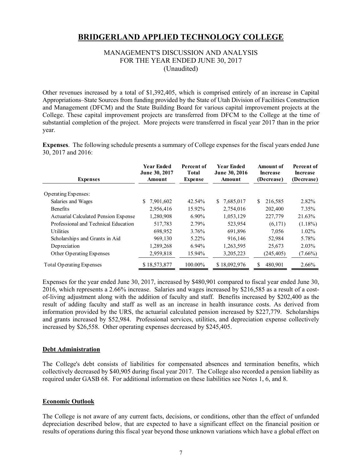### MANAGEMENT'S DISCUSSION AND ANALYSIS FOR THE YEAR ENDED JUNE 30, 2017 (Unaudited)

Other revenues increased by a total of \$1,392,405, which is comprised entirely of an increase in Capital Appropriations–State Sources from funding provided by the State of Utah Division of Facilities Construction and Management (DFCM) and the State Building Board for various capital improvement projects at the College. These capital improvement projects are transferred from DFCM to the College at the time of substantial completion of the project. More projects were transferred in fiscal year 2017 than in the prior year.

**Expenses**. The following schedule presents a summary of College expenses for the fiscal years ended June 30, 2017 and 2016:

| <b>Expenses</b>                      | <b>Year Ended</b><br>June 30, 2017<br>Amount | Percent of<br><b>Total</b><br><b>Expense</b> | <b>Year Ended</b><br>June 30, 2016<br>Amount | Amount of<br><b>Increase</b><br>(Decrease) | Percent of<br>Increase<br>(Decrease) |
|--------------------------------------|----------------------------------------------|----------------------------------------------|----------------------------------------------|--------------------------------------------|--------------------------------------|
| Operating Expenses:                  |                                              |                                              |                                              |                                            |                                      |
| Salaries and Wages                   | S.<br>7,901,602                              | 42.54%                                       | 7,685,017<br>S.                              | \$<br>216,585                              | 2.82%                                |
| <b>Benefits</b>                      | 2,956,416                                    | 15.92%                                       | 2,754,016                                    | 202,400                                    | 7.35%                                |
| Actuarial Calculated Pension Expense | 1,280,908                                    | 6.90%                                        | 1,053,129                                    | 227,779                                    | 21.63%                               |
| Professional and Technical Education | 517,783                                      | 2.79%                                        | 523,954                                      | (6,171)                                    | $(1.18\%)$                           |
| <b>Utilities</b>                     | 698,952                                      | 3.76%                                        | 691,896                                      | 7.056                                      | 1.02%                                |
| Scholarships and Grants in Aid       | 969,130                                      | 5.22%                                        | 916,146                                      | 52,984                                     | 5.78%                                |
| Depreciation                         | 1,289,268                                    | 6.94%                                        | 1,263,595                                    | 25,673                                     | 2.03%                                |
| Other Operating Expenses             | 2,959,818                                    | 15.94%                                       | 3,205,223                                    | (245, 405)                                 | $(7.66\%)$                           |
| Total Operating Expenses             | \$18,573,877                                 | 100.00%                                      | \$18,092,976                                 | S<br>480,901                               | 2.66%                                |

Expenses for the year ended June 30, 2017, increased by \$480,901 compared to fiscal year ended June 30, 2016, which represents a 2.66% increase. Salaries and wages increased by \$216,585 as a result of a costof-living adjustment along with the addition of faculty and staff. Benefits increased by \$202,400 as the result of adding faculty and staff as well as an increase in health insurance costs. As derived from information provided by the URS, the actuarial calculated pension increased by \$227,779. Scholarships and grants increased by \$52,984. Professional services, utilities, and depreciation expense collectively increased by \$26,558. Other operating expenses decreased by \$245,405.

### **Debt Administration**

The College's debt consists of liabilities for compensated absences and termination benefits, which collectively decreased by \$40,905 during fiscal year 2017. The College also recorded a pension liability as required under GASB 68. For additional information on these liabilities see Notes 1, 6, and 8.

### **Economic Outlook**

The College is not aware of any current facts, decisions, or conditions, other than the effect of unfunded depreciation described below, that are expected to have a significant effect on the financial position or results of operations during this fiscal year beyond those unknown variations which have a global effect on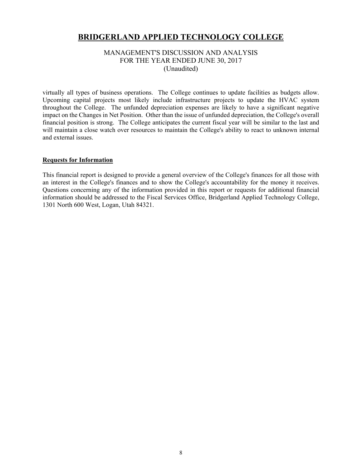### MANAGEMENT'S DISCUSSION AND ANALYSIS FOR THE YEAR ENDED JUNE 30, 2017 (Unaudited)

virtually all types of business operations. The College continues to update facilities as budgets allow. Upcoming capital projects most likely include infrastructure projects to update the HVAC system throughout the College. The unfunded depreciation expenses are likely to have a significant negative impact on the Changes in Net Position. Other than the issue of unfunded depreciation, the College's overall financial position is strong. The College anticipates the current fiscal year will be similar to the last and will maintain a close watch over resources to maintain the College's ability to react to unknown internal and external issues.

#### **Requests for Information**

This financial report is designed to provide a general overview of the College's finances for all those with an interest in the College's finances and to show the College's accountability for the money it receives. Questions concerning any of the information provided in this report or requests for additional financial information should be addressed to the Fiscal Services Office, Bridgerland Applied Technology College, 1301 North 600 West, Logan, Utah 84321.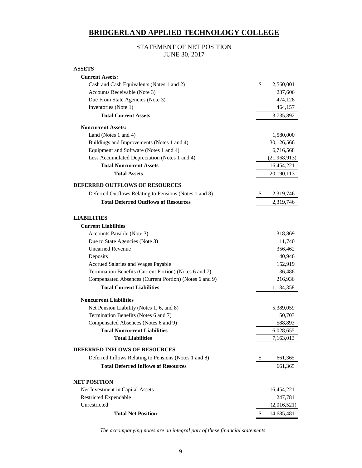# STATEMENT OF NET POSITION JUNE 30, 2017

| <b>ASSETS</b>                                          |                  |
|--------------------------------------------------------|------------------|
| <b>Current Assets:</b>                                 |                  |
| Cash and Cash Equivalents (Notes 1 and 2)              | \$<br>2,560,001  |
| Accounts Receivable (Note 3)                           | 237,606          |
| Due From State Agencies (Note 3)                       | 474,128          |
| Inventories (Note 1)                                   | 464,157          |
| <b>Total Current Assets</b>                            | 3,735,892        |
| <b>Noncurrent Assets:</b>                              |                  |
| Land (Notes 1 and 4)                                   | 1,580,000        |
| Buildings and Improvements (Notes 1 and 4)             | 30,126,566       |
| Equipment and Software (Notes 1 and 4)                 | 6,716,568        |
| Less Accumulated Depreciation (Notes 1 and 4)          | (21,968,913)     |
| <b>Total Noncurrent Assets</b>                         | 16,454,221       |
| <b>Total Assets</b>                                    | 20,190,113       |
| <b>DEFERRED OUTFLOWS OF RESOURCES</b>                  |                  |
| Deferred Outflows Relating to Pensions (Notes 1 and 8) | \$<br>2,319,746  |
| <b>Total Deferred Outflows of Resources</b>            | 2,319,746        |
| <b>LIABILITIES</b>                                     |                  |
| <b>Current Liabilities</b>                             |                  |
| Accounts Payable (Note 3)                              | 318,869          |
| Due to State Agencies (Note 3)                         | 11,740           |
| <b>Unearned Revenue</b>                                | 356,462          |
| Deposits                                               | 40,946           |
| Accrued Salaries and Wages Payable                     | 152,919          |
| Termination Benefits (Current Portion) (Notes 6 and 7) | 36,486           |
| Compensated Absences (Current Portion) (Notes 6 and 9) | 216,936          |
| <b>Total Current Liabilities</b>                       | 1,134,358        |
| <b>Noncurrent Liabilities</b>                          |                  |
| Net Pension Liability (Notes 1, 6, and 8)              | 5,389,059        |
| Termination Benefits (Notes 6 and 7)                   | 50,703           |
| Compensated Absences (Notes 6 and 9)                   | 588,893          |
| <b>Total Noncurrent Liabilities</b>                    | 6,028,655        |
| <b>Total Liabilities</b>                               | 7,163,013        |
| DEFERRED INFLOWS OF RESOURCES                          |                  |
| Deferred Inflows Relating to Pensions (Notes 1 and 8)  | \$<br>661,365    |
| <b>Total Deferred Inflows of Resources</b>             | 661,365          |
| <b>NET POSITION</b>                                    |                  |
| Net Investment in Capital Assets                       | 16,454,221       |
| <b>Restricted Expendable</b>                           | 247,781          |
| Unrestricted                                           | (2,016,521)      |
| <b>Total Net Position</b>                              | \$<br>14,685,481 |

*The accompanying notes are an integral part of these financial statements.*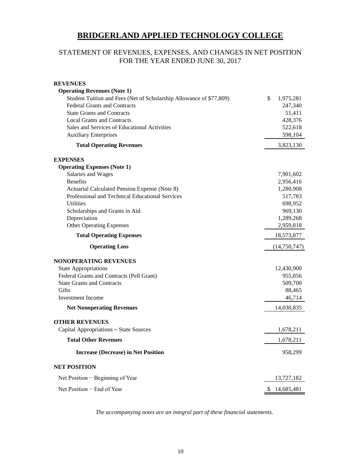# STATEMENT OF REVENUES, EXPENSES, AND CHANGES IN NET POSITION FOR THE YEAR ENDED JUNE 30, 2017

| <b>REVENUES</b>                                                     |                 |
|---------------------------------------------------------------------|-----------------|
| <b>Operating Revenues (Note 1)</b>                                  |                 |
| Student Tuition and Fees (Net of Scholarship Allowance of \$77,809) | \$<br>1,975,281 |
| <b>Federal Grants and Contracts</b>                                 | 247,340         |
| <b>State Grants and Contracts</b>                                   | 51,411          |
| <b>Local Grants and Contracts</b>                                   | 428,376         |
| Sales and Services of Educational Activities                        | 522,618         |
| <b>Auxiliary Enterprises</b>                                        | 598,104         |
| <b>Total Operating Revenues</b>                                     | 3,823,130       |
| <b>EXPENSES</b>                                                     |                 |
| <b>Operating Expenses (Note 1)</b>                                  |                 |
| Salaries and Wages                                                  | 7,901,602       |
| <b>Benefits</b>                                                     | 2,956,416       |
| Actuarial Calculated Pension Expense (Note 8)                       | 1,280,908       |
| Professional and Technical Educational Services                     | 517,783         |
| <b>Utilities</b>                                                    | 698,952         |
| Scholarships and Grants in Aid                                      | 969,130         |
| Depreciation                                                        | 1,289,268       |
| <b>Other Operating Expenses</b>                                     | 2,959,818       |
| <b>Total Operating Expenses</b>                                     | 18,573,877      |
| <b>Operating Loss</b>                                               | (14,750,747)    |
| <b>NONOPERATING REVENUES</b>                                        |                 |
| <b>State Appropriations</b>                                         | 12,430,900      |
| Federal Grants and Contracts (Pell Grant)                           | 955,056         |
| <b>State Grants and Contracts</b>                                   | 509,700         |
| Gifts                                                               | 88,465          |
| <b>Investment</b> Income                                            | 46,714          |
| <b>Net Nonoperating Revenues</b>                                    | 14,030,835      |
| <b>OTHER REVENUES</b>                                               |                 |
| Capital Appropriations - State Sources                              | 1,678,211       |
| <b>Total Other Revenues</b>                                         | 1,678,211       |
| <b>Increase (Decrease) in Net Position</b>                          | 958,299         |
| <b>NET POSITION</b>                                                 |                 |
| Net Position $-$ Beginning of Year                                  | 13,727,182      |
| Net Position - End of Year                                          | \$14,685,481    |

*The accompanying notes are an integral part of these financial statements.*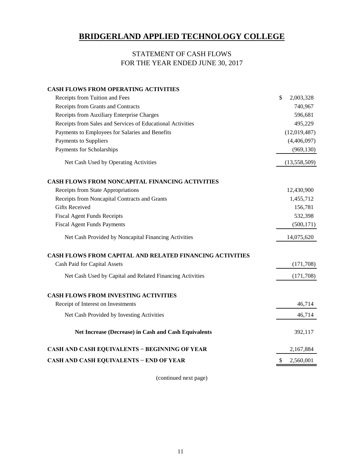# STATEMENT OF CASH FLOWS FOR THE YEAR ENDED JUNE 30, 2017

| <b>CASH FLOWS FROM OPERATING ACTIVITIES</b>                     |                 |
|-----------------------------------------------------------------|-----------------|
| Receipts from Tuition and Fees                                  | \$<br>2,003,328 |
| Receipts from Grants and Contracts                              | 740,967         |
| Receipts from Auxiliary Enterprise Charges                      | 596,681         |
| Receipts from Sales and Services of Educational Activities      | 495,229         |
| Payments to Employees for Salaries and Benefits                 | (12,019,487)    |
| <b>Payments to Suppliers</b>                                    | (4,406,097)     |
| Payments for Scholarships                                       | (969, 130)      |
| Net Cash Used by Operating Activities                           | (13,558,509)    |
| <b>CASH FLOWS FROM NONCAPITAL FINANCING ACTIVITIES</b>          |                 |
| Receipts from State Appropriations                              | 12,430,900      |
| Receipts from Noncapital Contracts and Grants                   | 1,455,712       |
| <b>Gifts Received</b>                                           | 156,781         |
| <b>Fiscal Agent Funds Receipts</b>                              | 532,398         |
| <b>Fiscal Agent Funds Payments</b>                              | (500, 171)      |
| Net Cash Provided by Noncapital Financing Activities            | 14,075,620      |
| <b>CASH FLOWS FROM CAPITAL AND RELATED FINANCING ACTIVITIES</b> |                 |
| Cash Paid for Capital Assets                                    | (171,708)       |
| Net Cash Used by Capital and Related Financing Activities       | (171,708)       |
| <b>CASH FLOWS FROM INVESTING ACTIVITIES</b>                     |                 |
| Receipt of Interest on Investments                              | 46,714          |
| Net Cash Provided by Investing Activities                       | 46,714          |
| Net Increase (Decrease) in Cash and Cash Equivalents            | 392,117         |
| <b>CASH AND CASH EQUIVALENTS - BEGINNING OF YEAR</b>            | 2,167,884       |
| <b>CASH AND CASH EQUIVALENTS - END OF YEAR</b>                  | \$<br>2,560,001 |

(continued next page)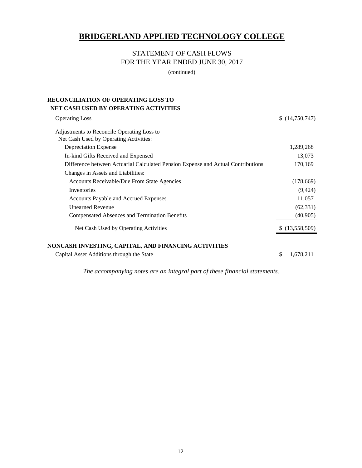# STATEMENT OF CASH FLOWS FOR THE YEAR ENDED JUNE 30, 2017

(continued)

## **RECONCILIATION OF OPERATING LOSS TO NET CASH USED BY OPERATING ACTIVITIES**

| <b>Operating Loss</b>                                                            | (14,750,747)    |
|----------------------------------------------------------------------------------|-----------------|
| Adjustments to Reconcile Operating Loss to                                       |                 |
| Net Cash Used by Operating Activities:                                           |                 |
| Depreciation Expense                                                             | 1,289,268       |
| In-kind Gifts Received and Expensed                                              | 13,073          |
| Difference between Actuarial Calculated Pension Expense and Actual Contributions | 170,169         |
| Changes in Assets and Liabilities:                                               |                 |
| Accounts Receivable/Due From State Agencies                                      | (178,669)       |
| Inventories                                                                      | (9, 424)        |
| Accounts Payable and Accrued Expenses                                            | 11,057          |
| <b>Unearned Revenue</b>                                                          | (62, 331)       |
| <b>Compensated Absences and Termination Benefits</b>                             | (40,905)        |
| Net Cash Used by Operating Activities                                            | \$(13,558,509)  |
| NONCASH INVESTING, CAPITAL, AND FINANCING ACTIVITIES                             |                 |
| Capital Asset Additions through the State                                        | \$<br>1,678,211 |

*The accompanying notes are an integral part of these financial statements.*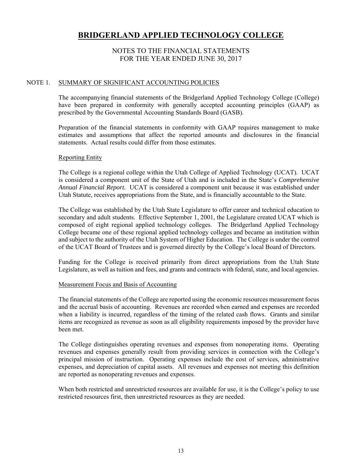# NOTES TO THE FINANCIAL STATEMENTS FOR THE YEAR ENDED JUNE 30, 2017

### NOTE 1. SUMMARY OF SIGNIFICANT ACCOUNTING POLICIES

The accompanying financial statements of the Bridgerland Applied Technology College (College) have been prepared in conformity with generally accepted accounting principles (GAAP) as prescribed by the Governmental Accounting Standards Board (GASB).

Preparation of the financial statements in conformity with GAAP requires management to make estimates and assumptions that affect the reported amounts and disclosures in the financial statements. Actual results could differ from those estimates.

#### Reporting Entity

The College is a regional college within the Utah College of Applied Technology (UCAT). UCAT is considered a component unit of the State of Utah and is included in the State's *Comprehensive Annual Financial Report.* UCAT is considered a component unit because it was established under Utah Statute, receives appropriations from the State, and is financially accountable to the State.

The College was established by the Utah State Legislature to offer career and technical education to secondary and adult students. Effective September 1, 2001, the Legislature created UCAT which is composed of eight regional applied technology colleges. The Bridgerland Applied Technology College became one of these regional applied technology colleges and became an institution within and subject to the authority of the Utah System of Higher Education. The College is under the control of the UCAT Board of Trustees and is governed directly by the College's local Board of Directors.

Funding for the College is received primarily from direct appropriations from the Utah State Legislature, as well as tuition and fees, and grants and contracts with federal, state, and local agencies.

#### Measurement Focus and Basis of Accounting

The financial statements of the College are reported using the economic resources measurement focus and the accrual basis of accounting. Revenues are recorded when earned and expenses are recorded when a liability is incurred, regardless of the timing of the related cash flows. Grants and similar items are recognized as revenue as soon as all eligibility requirements imposed by the provider have been met.

The College distinguishes operating revenues and expenses from nonoperating items. Operating revenues and expenses generally result from providing services in connection with the College's principal mission of instruction. Operating expenses include the cost of services, administrative expenses, and depreciation of capital assets. All revenues and expenses not meeting this definition are reported as nonoperating revenues and expenses.

When both restricted and unrestricted resources are available for use, it is the College's policy to use restricted resources first, then unrestricted resources as they are needed.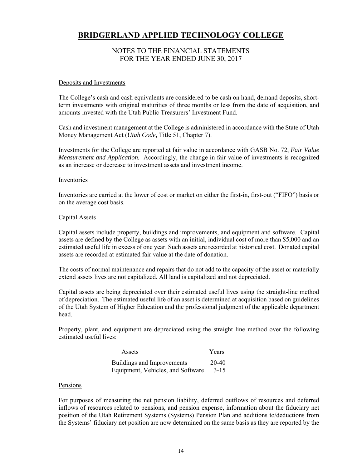# NOTES TO THE FINANCIAL STATEMENTS FOR THE YEAR ENDED JUNE 30, 2017

#### Deposits and Investments

The College's cash and cash equivalents are considered to be cash on hand, demand deposits, shortterm investments with original maturities of three months or less from the date of acquisition, and amounts invested with the Utah Public Treasurers' Investment Fund.

Cash and investment management at the College is administered in accordance with the State of Utah Money Management Act (*Utah Code,* Title 51, Chapter 7).

Investments for the College are reported at fair value in accordance with GASB No. 72, *Fair Value Measurement and Application.* Accordingly, the change in fair value of investments is recognized as an increase or decrease to investment assets and investment income.

#### Inventories

Inventories are carried at the lower of cost or market on either the first-in, first-out ("FIFO") basis or on the average cost basis.

#### Capital Assets

Capital assets include property, buildings and improvements, and equipment and software. Capital assets are defined by the College as assets with an initial, individual cost of more than \$5,000 and an estimated useful life in excess of one year. Such assets are recorded at historical cost. Donated capital assets are recorded at estimated fair value at the date of donation.

The costs of normal maintenance and repairs that do not add to the capacity of the asset or materially extend assets lives are not capitalized. All land is capitalized and not depreciated.

Capital assets are being depreciated over their estimated useful lives using the straight-line method of depreciation. The estimated useful life of an asset is determined at acquisition based on guidelines of the Utah System of Higher Education and the professional judgment of the applicable department head.

Property, plant, and equipment are depreciated using the straight line method over the following estimated useful lives:

| Assets                            | Years    |
|-----------------------------------|----------|
| <b>Buildings and Improvements</b> | 20-40    |
| Equipment, Vehicles, and Software | $3 - 15$ |

#### Pensions

For purposes of measuring the net pension liability, deferred outflows of resources and deferred inflows of resources related to pensions, and pension expense, information about the fiduciary net position of the Utah Retirement Systems (Systems) Pension Plan and additions to/deductions from the Systems' fiduciary net position are now determined on the same basis as they are reported by the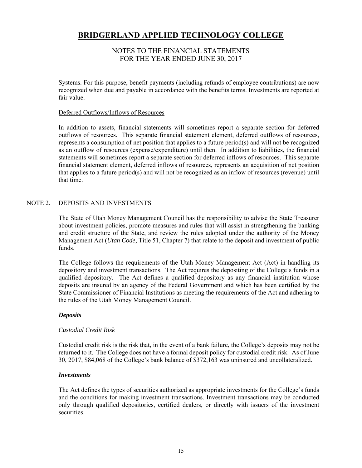# NOTES TO THE FINANCIAL STATEMENTS FOR THE YEAR ENDED JUNE 30, 2017

Systems. For this purpose, benefit payments (including refunds of employee contributions) are now recognized when due and payable in accordance with the benefits terms. Investments are reported at fair value.

#### Deferred Outflows/Inflows of Resources

In addition to assets, financial statements will sometimes report a separate section for deferred outflows of resources. This separate financial statement element, deferred outflows of resources, represents a consumption of net position that applies to a future period(s) and will not be recognized as an outflow of resources (expense/expenditure) until then. In addition to liabilities, the financial statements will sometimes report a separate section for deferred inflows of resources. This separate financial statement element, deferred inflows of resources, represents an acquisition of net position that applies to a future period(s) and will not be recognized as an inflow of resources (revenue) until that time.

### NOTE 2. DEPOSITS AND INVESTMENTS

The State of Utah Money Management Council has the responsibility to advise the State Treasurer about investment policies, promote measures and rules that will assist in strengthening the banking and credit structure of the State, and review the rules adopted under the authority of the Money Management Act (*Utah Code*, Title 51, Chapter 7) that relate to the deposit and investment of public funds.

The College follows the requirements of the Utah Money Management Act (Act) in handling its depository and investment transactions. The Act requires the depositing of the College's funds in a qualified depository. The Act defines a qualified depository as any financial institution whose deposits are insured by an agency of the Federal Government and which has been certified by the State Commissioner of Financial Institutions as meeting the requirements of the Act and adhering to the rules of the Utah Money Management Council.

### *Deposits*

### *Custodial Credit Risk*

Custodial credit risk is the risk that, in the event of a bank failure, the College's deposits may not be returned to it. The College does not have a formal deposit policy for custodial credit risk. As of June 30, 2017, \$84,068 of the College's bank balance of \$372,163 was uninsured and uncollateralized.

#### *Investments*

The Act defines the types of securities authorized as appropriate investments for the College's funds and the conditions for making investment transactions. Investment transactions may be conducted only through qualified depositories, certified dealers, or directly with issuers of the investment securities.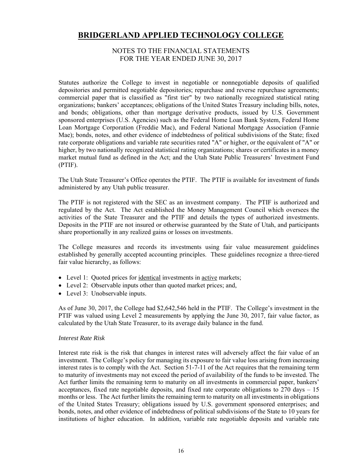# NOTES TO THE FINANCIAL STATEMENTS FOR THE YEAR ENDED JUNE 30, 2017

Statutes authorize the College to invest in negotiable or nonnegotiable deposits of qualified depositories and permitted negotiable depositories; repurchase and reverse repurchase agreements; commercial paper that is classified as "first tier" by two nationally recognized statistical rating organizations; bankers' acceptances; obligations of the United States Treasury including bills, notes, and bonds; obligations, other than mortgage derivative products, issued by U.S. Government sponsored enterprises (U.S. Agencies) such as the Federal Home Loan Bank System, Federal Home Loan Mortgage Corporation (Freddie Mac), and Federal National Mortgage Association (Fannie Mae); bonds, notes, and other evidence of indebtedness of political subdivisions of the State; fixed rate corporate obligations and variable rate securities rated "A" or higher, or the equivalent of "A" or higher, by two nationally recognized statistical rating organizations; shares or certificates in a money market mutual fund as defined in the Act; and the Utah State Public Treasurers' Investment Fund (PTIF).

The Utah State Treasurer's Office operates the PTIF. The PTIF is available for investment of funds administered by any Utah public treasurer.

The PTIF is not registered with the SEC as an investment company. The PTIF is authorized and regulated by the Act. The Act established the Money Management Council which oversees the activities of the State Treasurer and the PTIF and details the types of authorized investments. Deposits in the PTIF are not insured or otherwise guaranteed by the State of Utah, and participants share proportionally in any realized gains or losses on investments.

The College measures and records its investments using fair value measurement guidelines established by generally accepted accounting principles. These guidelines recognize a three-tiered fair value hierarchy, as follows:

- Level 1: Quoted prices for <u>identical</u> investments in <u>active</u> markets;
- Level 2: Observable inputs other than quoted market prices; and,
- Level 3: Unobservable inputs.

As of June 30, 2017, the College had \$2,642,546 held in the PTIF. The College's investment in the PTIF was valued using Level 2 measurements by applying the June 30, 2017, fair value factor, as calculated by the Utah State Treasurer, to its average daily balance in the fund.

### *Interest Rate Risk*

Interest rate risk is the risk that changes in interest rates will adversely affect the fair value of an investment. The College's policy for managing its exposure to fair value loss arising from increasing interest rates is to comply with the Act. Section 51-7-11 of the Act requires that the remaining term to maturity of investments may not exceed the period of availability of the funds to be invested. The Act further limits the remaining term to maturity on all investments in commercial paper, bankers' acceptances, fixed rate negotiable deposits, and fixed rate corporate obligations to  $270 \text{ days} - 15$ months or less. The Act further limits the remaining term to maturity on all investments in obligations of the United States Treasury; obligations issued by U.S. government sponsored enterprises; and bonds, notes, and other evidence of indebtedness of political subdivisions of the State to 10 years for institutions of higher education. In addition, variable rate negotiable deposits and variable rate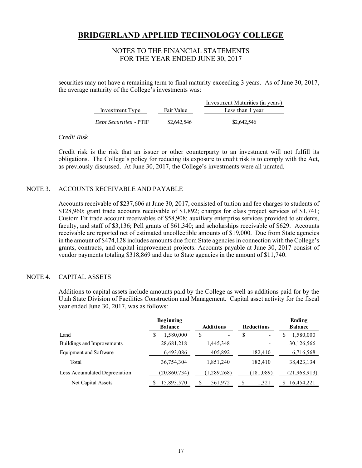# NOTES TO THE FINANCIAL STATEMENTS FOR THE YEAR ENDED JUNE 30, 2017

securities may not have a remaining term to final maturity exceeding 3 years. As of June 30, 2017, the average maturity of the College's investments was:

|                               |             | Investment Maturities (in years) |
|-------------------------------|-------------|----------------------------------|
| Investment Type               | Fair Value  | Less than 1 year                 |
| <i>Debt Securities - PTIF</i> | \$2,642,546 | \$2,642,546                      |

#### *Credit Risk*

Credit risk is the risk that an issuer or other counterparty to an investment will not fulfill its obligations. The College's policy for reducing its exposure to credit risk is to comply with the Act, as previously discussed. At June 30, 2017, the College's investments were all unrated.

### NOTE 3. ACCOUNTS RECEIVABLE AND PAYABLE

Accounts receivable of \$237,606 at June 30, 2017, consisted of tuition and fee charges to students of \$128,960; grant trade accounts receivable of \$1,892; charges for class project services of \$1,741; Custom Fit trade account receivables of \$58,908; auxiliary enterprise services provided to students, faculty, and staff of \$3,136; Pell grants of \$61,340; and scholarships receivable of \$629. Accounts receivable are reported net of estimated uncollectible amounts of \$19,000. Due from State agencies in the amount of \$474,128 includes amounts due from State agencies in connection with the College's grants, contracts, and capital improvement projects. Accounts payable at June 30, 2017 consist of vendor payments totaling \$318,869 and due to State agencies in the amount of \$11,740.

### NOTE 4. CAPITAL ASSETS

Additions to capital assets include amounts paid by the College as well as additions paid for by the Utah State Division of Facilities Construction and Management. Capital asset activity for the fiscal year ended June 30, 2017, was as follows:

|                               | <b>Beginning</b><br><b>Balance</b> | <b>Additions</b> | <b>Reductions</b>              | Ending<br><b>Balance</b> |
|-------------------------------|------------------------------------|------------------|--------------------------------|--------------------------|
| Land                          | 1,580,000<br>S                     | \$<br>۰          | \$<br>$\overline{\phantom{a}}$ | 1,580,000                |
| Buildings and Improvements    | 28,681,218                         | 1,445,348        | $\overline{\phantom{a}}$       | 30,126,566               |
| Equipment and Software        | 6,493,086                          | 405,892          | 182,410                        | 6,716,568                |
| Total                         | 36,754,304                         | 1,851,240        | 182,410                        | 38,423,134               |
| Less Accumulated Depreciation | (20, 860, 734)                     | (1,289,268)      | (181,089)                      | (21,968,913)             |
| Net Capital Assets            | 15,893,570                         | 561,972          | 1,321                          | 16,454,221               |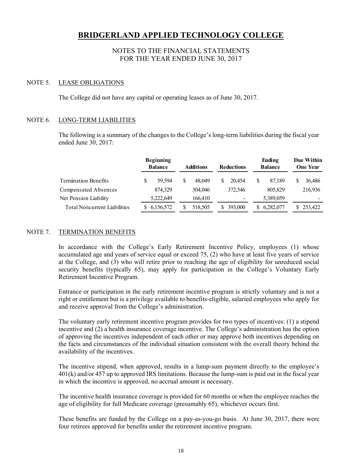# NOTES TO THE FINANCIAL STATEMENTS FOR THE YEAR ENDED JUNE 30, 2017

### NOTE 5. LEASE OBLIGATIONS

The College did not have any capital or operating leases as of June 30, 2017.

### NOTE 6. LONG-TERM LIABILITIES

The following is a summary of the changes to the College's long-term liabilities during the fiscal year ended June 30, 2017:

|                                     | <b>Beginning</b><br><b>Balance</b> |           | <b>Additions</b> |         | <b>Reductions</b> |         | Ending<br><b>Balance</b> |           | <b>Due Within</b><br><b>One Year</b> |         |
|-------------------------------------|------------------------------------|-----------|------------------|---------|-------------------|---------|--------------------------|-----------|--------------------------------------|---------|
| <b>Termination Benefits</b>         | S                                  | 59.594    |                  | 48,049  | S                 | 20.454  | S                        | 87.189    |                                      | 36,486  |
| Compensated Absences                |                                    | 874,329   |                  | 304,046 |                   | 372,546 |                          | 805,829   |                                      | 216,936 |
| Net Pension Liability               |                                    | 5,222,649 |                  | 166,410 |                   | -       |                          | 5,389,059 |                                      |         |
| <b>Total Noncurrent Liabilities</b> |                                    | 6,156,572 |                  | 518,505 |                   | 393,000 |                          | 6,282,077 |                                      | 253,422 |

### NOTE 7. TERMINATION BENEFITS

In accordance with the College's Early Retirement Incentive Policy, employees (1) whose accumulated age and years of service equal or exceed 75, (2) who have at least five years of service at the College, and (3) who will retire prior to reaching the age of eligibility for unreduced social security benefits (typically 65), may apply for participation in the College's Voluntary Early Retirement Incentive Program.

Entrance or participation in the early retirement incentive program is strictly voluntary and is not a right or entitlement but is a privilege available to benefits-eligible, salaried employees who apply for and receive approval from the College's administration.

The voluntary early retirement incentive program provides for two types of incentives: (1) a stipend incentive and (2) a health insurance coverage incentive. The College's administration has the option of approving the incentives independent of each other or may approve both incentives depending on the facts and circumstances of the individual situation consistent with the overall theory behind the availability of the incentives.

The incentive stipend, when approved, results in a lump-sum payment directly to the employee's 401(k) and/or 457 up to approved IRS limitations. Because the lump-sum is paid out in the fiscal year in which the incentive is approved, no accrual amount is necessary.

The incentive health insurance coverage is provided for 60 months or when the employee reaches the age of eligibility for full Medicare coverage (presumably 65), whichever occurs first.

These benefits are funded by the College on a pay-as-you-go basis. At June 30, 2017, there were four retirees approved for benefits under the retirement incentive program.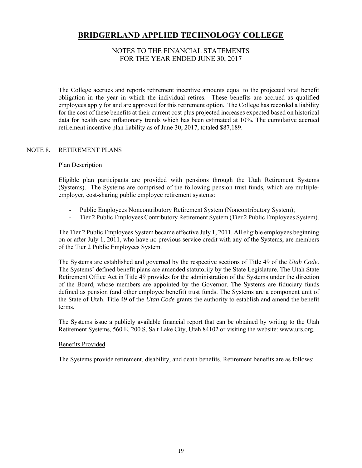# NOTES TO THE FINANCIAL STATEMENTS FOR THE YEAR ENDED JUNE 30, 2017

The College accrues and reports retirement incentive amounts equal to the projected total benefit obligation in the year in which the individual retires. These benefits are accrued as qualified employees apply for and are approved for this retirement option. The College has recorded a liability for the cost of these benefits at their current cost plus projected increases expected based on historical data for health care inflationary trends which has been estimated at 10%. The cumulative accrued retirement incentive plan liability as of June 30, 2017, totaled \$87,189.

### NOTE 8. RETIREMENT PLANS

#### Plan Description

Eligible plan participants are provided with pensions through the Utah Retirement Systems (Systems). The Systems are comprised of the following pension trust funds, which are multipleemployer, cost-sharing public employee retirement systems:

- Public Employees Noncontributory Retirement System (Noncontributory System);
- Tier 2 Public Employees Contributory Retirement System (Tier 2 Public Employees System).

The Tier 2 Public Employees System became effective July 1, 2011. All eligible employees beginning on or after July 1, 2011, who have no previous service credit with any of the Systems, are members of the Tier 2 Public Employees System.

The Systems are established and governed by the respective sections of Title 49 of the *Utah Code*. The Systems' defined benefit plans are amended statutorily by the State Legislature. The Utah State Retirement Office Act in Title 49 provides for the administration of the Systems under the direction of the Board, whose members are appointed by the Governor. The Systems are fiduciary funds defined as pension (and other employee benefit) trust funds. The Systems are a component unit of the State of Utah. Title 49 of the *Utah Code* grants the authority to establish and amend the benefit terms.

The Systems issue a publicly available financial report that can be obtained by writing to the Utah Retirement Systems, 560 E. 200 S, Salt Lake City, Utah 84102 or visiting the website: www.urs.org.

#### Benefits Provided

The Systems provide retirement, disability, and death benefits. Retirement benefits are as follows: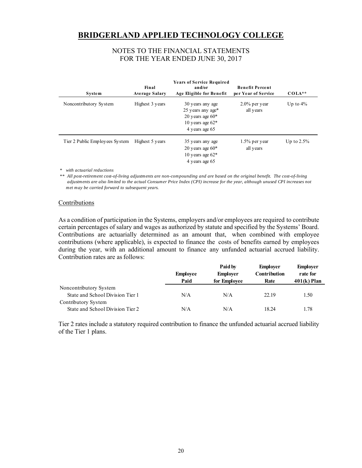# NOTES TO THE FINANCIAL STATEMENTS FOR THE YEAR ENDED JUNE 30, 2017

| <b>System</b>                  | Final<br><b>Average Salary</b>                                                                                           | <b>Years of Service Required</b><br>and/or<br>Age Eligible for Benefit         | <b>Benefit Percent</b><br>per Year of Service | $COLA**$      |
|--------------------------------|--------------------------------------------------------------------------------------------------------------------------|--------------------------------------------------------------------------------|-----------------------------------------------|---------------|
| Noncontributory System         | Highest 3 years<br>30 years any age<br>$25$ years any age*<br>20 years age $60*$<br>10 years age $62*$<br>4 years age 65 |                                                                                | $2.0\%$ per year<br>all years                 | Up to $4\%$   |
| Tier 2 Public Employees System | Highest 5 years                                                                                                          | 35 years any age<br>20 years age $60*$<br>10 years age $62*$<br>4 years age 65 | $1.5\%$ per year<br>all years                 | Up to $2.5\%$ |

*\* with actuarial reductions*

*\*\* All post-retirement cost-of-living adjustments are non-compounding and are based on the original benefit. The cost-of-living adjustments are also limited to the actual Consumer Price Index (CPI) increase for the year, although unused CPI increases not met may be carried forward to subsequent years.*

#### **Contributions**

As a condition of participation in the Systems, employers and/or employees are required to contribute certain percentages of salary and wages as authorized by statute and specified by the Systems' Board. Contributions are actuarially determined as an amount that, when combined with employee contributions (where applicable), is expected to finance the costs of benefits earned by employees during the year, with an additional amount to finance any unfunded actuarial accrued liability. Contribution rates are as follows:

|                                  | <b>Employee</b> | Paid by<br><b>Employer</b> | <b>Employer</b><br>Contribution | <b>Employer</b><br>rate for |
|----------------------------------|-----------------|----------------------------|---------------------------------|-----------------------------|
|                                  | Paid            | for Employee               | Rate                            | $401(k)$ Plan               |
| Noncontributory System           |                 |                            |                                 |                             |
| State and School Division Tier 1 | N/A             | N/A                        | 22.19                           | 1.50                        |
| Contributory System              |                 |                            |                                 |                             |
| State and School Division Tier 2 | N/A             | N/A                        | 18.24                           | 1.78                        |

Tier 2 rates include a statutory required contribution to finance the unfunded actuarial accrued liability of the Tier 1 plans.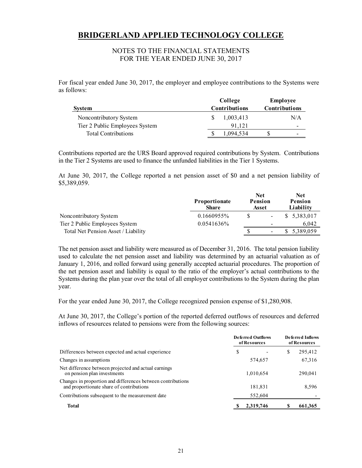### NOTES TO THE FINANCIAL STATEMENTS FOR THE YEAR ENDED JUNE 30, 2017

For fiscal year ended June 30, 2017, the employer and employee contributions to the Systems were as follows:

|                                |   | College              | <b>Employee</b> |                          |  |
|--------------------------------|---|----------------------|-----------------|--------------------------|--|
| <b>System</b>                  |   | <b>Contributions</b> |                 | <b>Contributions</b>     |  |
| Noncontributory System         |   | 1,003,413            |                 | N/A                      |  |
| Tier 2 Public Employees System |   | 91.121               |                 | $\overline{\phantom{0}}$ |  |
| <b>Total Contributions</b>     | S | 1.094.534            |                 | $\overline{\phantom{0}}$ |  |

Contributions reported are the URS Board approved required contributions by System. Contributions in the Tier 2 Systems are used to finance the unfunded liabilities in the Tier 1 Systems.

At June 30, 2017, the College reported a net pension asset of \$0 and a net pension liability of \$5,389,059.

|                                     | <b>Proportionate</b><br><b>Share</b> | <b>Net</b><br>Pension<br><b>Asset</b> |                          | <b>Net</b><br>Pension<br>Liability |  |
|-------------------------------------|--------------------------------------|---------------------------------------|--------------------------|------------------------------------|--|
| Noncontributory System              | 0.1660955%                           | \$.                                   | $\blacksquare$           | \$ 5.383,017                       |  |
| Tier 2 Public Employees System      | 0.0541636\%                          |                                       |                          | 6,042                              |  |
| Total Net Pension Asset / Liability |                                      |                                       | $\overline{\phantom{a}}$ | 5,389,059                          |  |

The net pension asset and liability were measured as of December 31, 2016. The total pension liability used to calculate the net pension asset and liability was determined by an actuarial valuation as of January 1, 2016, and rolled forward using generally accepted actuarial procedures. The proportion of the net pension asset and liability is equal to the ratio of the employer's actual contributions to the Systems during the plan year over the total of all employer contributions to the System during the plan year.

For the year ended June 30, 2017, the College recognized pension expense of \$1,280,908.

At June 30, 2017, the College's portion of the reported deferred outflows of resources and deferred inflows of resources related to pensions were from the following sources:

|                                                                                                         | Deferred Outflows<br>of Resources | Deferred Inflows<br>of Resources |
|---------------------------------------------------------------------------------------------------------|-----------------------------------|----------------------------------|
| Differences between expected and actual experience                                                      | \$                                | 295,412<br>S                     |
| Changes in assumptions                                                                                  | 574,657                           | 67,316                           |
| Net difference between projected and actual earnings<br>on pension plan investments                     | 1,010,654                         | 290,041                          |
| Changes in proportion and differences between contributions<br>and proportionate share of contributions | 181,831                           | 8,596                            |
| Contributions subsequent to the measurement date                                                        | 552,604                           |                                  |
| Total                                                                                                   | 2,319,746                         | 661,365                          |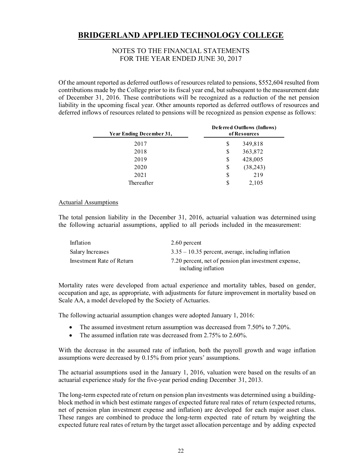# NOTES TO THE FINANCIAL STATEMENTS FOR THE YEAR ENDED JUNE 30, 2017

Of the amount reported as deferred outflows of resources related to pensions, \$552,604 resulted from contributions made by the College prior to its fiscal year end, but subsequent to the measurement date of December 31, 2016. These contributions will be recognized as a reduction of the net pension liability in the upcoming fiscal year. Other amounts reported as deferred outflows of resources and deferred inflows of resources related to pensions will be recognized as pension expense as follows:

| Year Ending December 31, | Deferred Outflows (Inflows)<br>of Resources |          |  |  |
|--------------------------|---------------------------------------------|----------|--|--|
| 2017                     | S                                           | 349,818  |  |  |
| 2018                     | S                                           | 363,872  |  |  |
| 2019                     | \$                                          | 428,005  |  |  |
| 2020                     | \$                                          | (38,243) |  |  |
| 2021                     | \$                                          | 219      |  |  |
| Thereafter               | S                                           | 2,105    |  |  |

#### Actuarial Assumptions

The total pension liability in the December 31, 2016, actuarial valuation was determined using the following actuarial assumptions, applied to all periods included in the measurement:

| Inflation                 | 2.60 percent                                          |
|---------------------------|-------------------------------------------------------|
| Salary Increases          | $3.35 - 10.35$ percent, average, including inflation  |
| Investment Rate of Return | 7.20 percent, net of pension plan investment expense, |
|                           | including inflation                                   |

Mortality rates were developed from actual experience and mortality tables, based on gender, occupation and age, as appropriate, with adjustments for future improvement in mortality based on Scale AA, a model developed by the Society of Actuaries.

The following actuarial assumption changes were adopted January 1, 2016:

- The assumed investment return assumption was decreased from 7.50% to 7.20%.
- The assumed inflation rate was decreased from 2.75% to 2.60%.

With the decrease in the assumed rate of inflation, both the payroll growth and wage inflation assumptions were decreased by 0.15% from prior years' assumptions.

The actuarial assumptions used in the January 1, 2016, valuation were based on the results of an actuarial experience study for the five-year period ending December 31, 2013.

The long-term expected rate of return on pension plan investments was determined using a buildingblock method in which best estimate ranges of expected future real rates of return (expected returns, net of pension plan investment expense and inflation) are developed for each major asset class. These ranges are combined to produce the long-term expected rate of return by weighting the expected future real rates of return by the target asset allocation percentage and by adding expected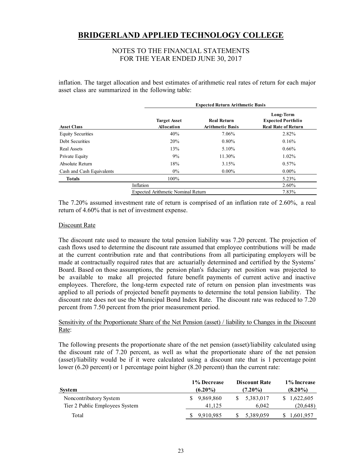# NOTES TO THE FINANCIAL STATEMENTS FOR THE YEAR ENDED JUNE 30, 2017

inflation. The target allocation and best estimates of arithmetic real rates of return for each major asset class are summarized in the following table:

|                           |                                    | <b>Expected Return Arithmetic Basis</b>       |                                                                      |
|---------------------------|------------------------------------|-----------------------------------------------|----------------------------------------------------------------------|
| <b>Asset Class</b>        | <b>Target Asset</b><br>Allocation  | <b>Real Return</b><br><b>Arithmetic Basis</b> | Long-Term<br><b>Expected Portfolio</b><br><b>Real Rate of Return</b> |
| <b>Equity Securities</b>  | 40%                                | 7.06%                                         | 2.82%                                                                |
| <b>Debt Securities</b>    | 20%                                | 0.80%                                         | 0.16%                                                                |
| Real Assets               | 13%                                | 5.10%                                         | $0.66\%$                                                             |
| Private Equity            | 9%                                 | 11.30%                                        | 1.02%                                                                |
| Absolute Return           | 18%                                | 3.15%                                         | $0.57\%$                                                             |
| Cash and Cash Equivalents | $0\%$                              | $0.00\%$                                      | $0.00\%$                                                             |
| <b>Totals</b>             | 100%                               |                                               | 5.23%                                                                |
|                           | Inflation                          |                                               | 2.60%                                                                |
|                           | Expected Arithmetic Nominal Return |                                               | 7.83%                                                                |

The 7.20% assumed investment rate of return is comprised of an inflation rate of 2.60%, a real return of 4.60% that is net of investment expense.

#### Discount Rate

The discount rate used to measure the total pension liability was 7.20 percent. The projection of cash flows used to determine the discount rate assumed that employee contributions will be made at the current contribution rate and that contributions from all participating employers will be made at contractually required rates that are actuarially determined and certified by the Systems' Board. Based on those assumptions, the pension plan's fiduciary net position was projected to be available to make all projected future benefit payments of current active and inactive employees. Therefore, the long-term expected rate of return on pension plan investments was applied to all periods of projected benefit payments to determine the total pension liability. The discount rate does not use the Municipal Bond Index Rate. The discount rate was reduced to 7.20 percent from 7.50 percent from the prior measurement period.

### Sensitivity of the Proportionate Share of the Net Pension (asset) / liability to Changes in the Discount Rate:

The following presents the proportionate share of the net pension (asset)/liability calculated using the discount rate of 7.20 percent, as well as what the proportionate share of the net pension (asset)/liability would be if it were calculated using a discount rate that is 1 percentage point lower (6.20 percent) or 1 percentage point higher (8.20 percent) than the current rate:

|                                | 1% Decrease | <b>Discount Rate</b> | 1% Increase |  |  |
|--------------------------------|-------------|----------------------|-------------|--|--|
| <b>System</b>                  | $(6.20\%)$  | $(7.20\%)$           | $(8.20\%)$  |  |  |
| Noncontributory System         | 9,869,860   | 5,383,017            | 1,622,605   |  |  |
| Tier 2 Public Employees System | 41.125      | 6.042                | (20, 648)   |  |  |
| Total                          | 9,910,985   | 5,389,059            | 1,601,957   |  |  |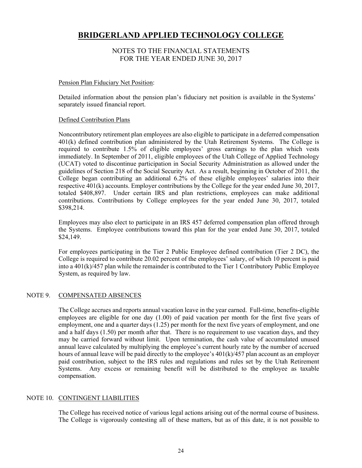# NOTES TO THE FINANCIAL STATEMENTS FOR THE YEAR ENDED JUNE 30, 2017

#### Pension Plan Fiduciary Net Position:

Detailed information about the pension plan's fiduciary net position is available in the Systems' separately issued financial report.

#### Defined Contribution Plans

Noncontributory retirement plan employees are also eligible to participate in a deferred compensation 401(k) defined contribution plan administered by the Utah Retirement Systems. The College is required to contribute 1.5% of eligible employees' gross earnings to the plan which vests immediately. In September of 2011, eligible employees of the Utah College of Applied Technology (UCAT) voted to discontinue participation in Social Security Administration as allowed under the guidelines of Section 218 of the Social Security Act. As a result, beginning in October of 2011, the College began contributing an additional 6.2% of these eligible employees' salaries into their respective 401(k) accounts. Employer contributions by the College for the year ended June 30, 2017, totaled \$408,897. Under certain IRS and plan restrictions, employees can make additional contributions. Contributions by College employees for the year ended June 30, 2017, totaled \$398,214.

Employees may also elect to participate in an IRS 457 deferred compensation plan offered through the Systems. Employee contributions toward this plan for the year ended June 30, 2017, totaled \$24,149.

For employees participating in the Tier 2 Public Employee defined contribution (Tier 2 DC), the College is required to contribute 20.02 percent of the employees' salary, of which 10 percent is paid into a 401(k)/457 plan while the remainder is contributed to the Tier 1 Contributory Public Employee System, as required by law.

### NOTE 9. COMPENSATED ABSENCES

The College accrues and reports annual vacation leave in the year earned. Full-time, benefits-eligible employees are eligible for one day (1.00) of paid vacation per month for the first five years of employment, one and a quarter days (1.25) per month for the next five years of employment, and one and a half days (1.50) per month after that. There is no requirement to use vacation days, and they may be carried forward without limit. Upon termination, the cash value of accumulated unused annual leave calculated by multiplying the employee's current hourly rate by the number of accrued hours of annual leave will be paid directly to the employee's 401(k)/457 plan account as an employer paid contribution, subject to the IRS rules and regulations and rules set by the Utah Retirement Systems. Any excess or remaining benefit will be distributed to the employee as taxable compensation.

### NOTE 10. CONTINGENT LIABILITIES

The College has received notice of various legal actions arising out of the normal course of business. The College is vigorously contesting all of these matters, but as of this date, it is not possible to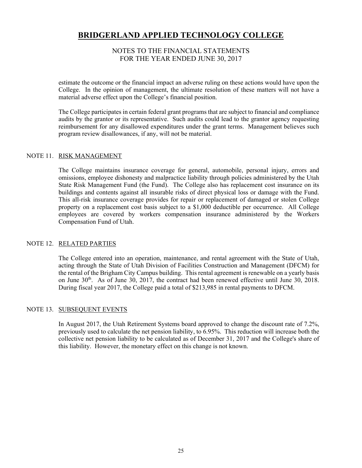# NOTES TO THE FINANCIAL STATEMENTS FOR THE YEAR ENDED JUNE 30, 2017

estimate the outcome or the financial impact an adverse ruling on these actions would have upon the College. In the opinion of management, the ultimate resolution of these matters will not have a material adverse effect upon the College's financial position.

The College participates in certain federal grant programs that are subject to financial and compliance audits by the grantor or its representative. Such audits could lead to the grantor agency requesting reimbursement for any disallowed expenditures under the grant terms. Management believes such program review disallowances, if any, will not be material.

#### NOTE 11. RISK MANAGEMENT

The College maintains insurance coverage for general, automobile, personal injury, errors and omissions, employee dishonesty and malpractice liability through policies administered by the Utah State Risk Management Fund (the Fund). The College also has replacement cost insurance on its buildings and contents against all insurable risks of direct physical loss or damage with the Fund. This all-risk insurance coverage provides for repair or replacement of damaged or stolen College property on a replacement cost basis subject to a \$1,000 deductible per occurrence. All College employees are covered by workers compensation insurance administered by the Workers Compensation Fund of Utah.

### NOTE 12. RELATED PARTIES

The College entered into an operation, maintenance, and rental agreement with the State of Utah, acting through the State of Utah Division of Facilities Construction and Management (DFCM) for the rental of the Brigham City Campus building. This rental agreement is renewable on a yearly basis on June  $30<sup>th</sup>$ . As of June  $30$ ,  $2017$ , the contract had been renewed effective until June  $30$ ,  $2018$ . During fiscal year 2017, the College paid a total of \$213,985 in rental payments to DFCM.

#### NOTE 13. SUBSEQUENT EVENTS

In August 2017, the Utah Retirement Systems board approved to change the discount rate of 7.2%, previously used to calculate the net pension liability, to 6.95%. This reduction will increase both the collective net pension liability to be calculated as of December 31, 2017 and the College's share of this liability. However, the monetary effect on this change is not known.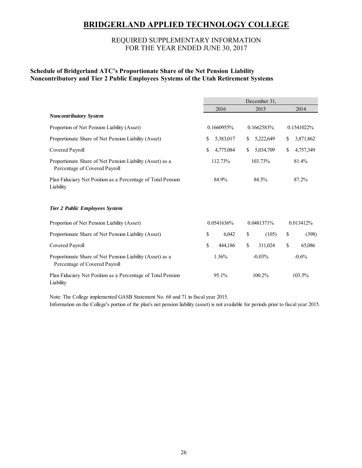# REQUIRED SUPPLEMENTARY INFORMATION FOR THE YEAR ENDED JUNE 30, 2017

### **Schedule of Bridgerland ATC's Proportionate Share of the Net Pension Liability Noncontributory and Tier 2 Public Employees Systems of the Utah Retirement Systems**

|                                                                                            | December 31, |            |       |            |      |            |
|--------------------------------------------------------------------------------------------|--------------|------------|-------|------------|------|------------|
|                                                                                            | 2016<br>2015 |            |       |            | 2014 |            |
| <b>Noncontributory System</b>                                                              |              |            |       |            |      |            |
| Proportion of Net Pension Liability (Asset)                                                |              | 0.1660955% |       | 0.1662583% |      | 0.1541022% |
| Proportionate Share of Net Pension Liability (Asset)                                       | \$           | 5,383,017  | S     | 5,222,649  | S    | 3,871,862  |
| Covered Payroll                                                                            | \$           | 4,775,084  | \$    | 5,034,709  | \$   | 4,757,349  |
| Proportionate Share of Net Pension Liability (Asset) as a<br>Percentage of Covered Payroll |              | 112.73%    |       | 103.73%    |      | 81.4%      |
| Plan Fiduciary Net Position as a Percentage of Total Pension<br>Liability                  |              | 84.9%      | 84.5% |            |      | 87.2%      |
| <b>Tier 2 Public Employees System</b>                                                      |              |            |       |            |      |            |
| Proportion of Net Pension Liability (Asset)                                                |              | 0.0541636% |       | 0.0481371% |      | 0.013412%  |
| Proportionate Share of Net Pension Liability (Asset)                                       | \$           | 6,042      | \$    | (105)      | \$   | (398)      |
| Covered Payroll                                                                            | \$.          | 444,186    | \$    | 311,024    | \$   | 65,086     |
| Proportionate Share of Net Pension Liability (Asset) as a<br>Percentage of Covered Payroll |              | 1.36%      |       | $-0.03%$   |      | $-0.6%$    |
| Plan Fiduciary Net Position as a Percentage of Total Pension<br>Liability                  |              | 95.1%      |       | 100.2%     |      | 103.5%     |

Note: The College implemented GASB Statement No. 68 and 71 in fiscal year 2015.

Information on the College's portion of the plan's net pension liability (asset) is not available for periods prior to fiscal year 2015.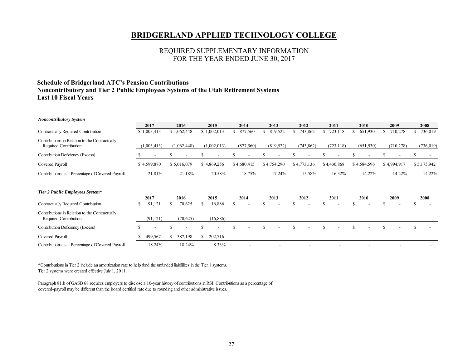# REQUIRED SUPPLEMENTARY INFORMATION FOR THE YEAR ENDED JUNE 30, 2017

### **Schedule of Bridgerland ATC's Pension Contributions Noncontributory and Tier 2 Public Employees Systems of the Utah Retirement Systems Last 10 Fiscal Years**

| <b>Noncontributory System</b>                                           |             |               |             |             |               |             |               |             |             |             |
|-------------------------------------------------------------------------|-------------|---------------|-------------|-------------|---------------|-------------|---------------|-------------|-------------|-------------|
|                                                                         | 2017        | 2016          | 2015        | 2014        | 2013          | 2012        | 2011          | 2010        | 2009        | 2008        |
| Contractually Required Contribution                                     | \$1,003,413 | \$1,062,448   | \$1,002,013 | 877,560     | 819,522<br>\$ | 743,862     | 723,118<br>\$ | 651,930     | 710,278     | 736,019     |
| Contributions in Relation to the Contractually<br>Required Contribution | (1,003,413) | (1,062,448)   | (1,002,013) | (877, 560)  | (819, 522)    | (743, 862)  | (723, 118)    | (651,930)   | (710, 278)  | (736, 019)  |
| Contribution Deficiency (Excess)                                        |             |               |             |             |               |             |               |             |             |             |
| Covered Payroll                                                         | \$4,599,870 | \$5,016,079   | \$4,869,256 | \$4,680,415 | \$4,754,290   | \$4,773,136 | \$4,430,868   | \$4,584,596 | \$4,994,917 | \$5,175,942 |
| Contributions as a Percentage of Covered Payroll                        | 21.81%      | 21.18%        | 20.58%      | 18.75%      | 17.24%        | 15.58%      | 16.32%        | 14.22%      | 14.22%      | 14.22%      |
| Tier 2 Public Employees System*                                         | 2017        | 2016          | 2015        | 2014        | 2013          | 2012        | 2011          | 2010        | 2009        | 2008        |
| Contractually Required Contribution                                     | 91,121<br>S | 70,625        | 16,886      |             |               |             |               |             |             |             |
| Contributions in Relation to the Contractually<br>Required Contribution | (91, 121)   | (70,625)      | (16,886)    |             |               |             |               |             |             |             |
| Contribution Deficiency (Excess)                                        | S           | S             |             | \$.         |               |             | \$            |             | -S          |             |
| Covered Payroll                                                         | 499,567     | 387,198<br>S. | 202,716     |             |               |             |               |             |             |             |
| Contributions as a Percentage of Covered Payroll                        | 18.24%      | 18.24%        | 8.33%       |             |               |             |               |             |             |             |

\*Contributions in Tier 2 include an amortization rate to help fund the unfunded liabililites in the Tier 1 systems. Tier 2 systems were created effective July 1, 2011.

Paragraph 81.b of GASB 68 requires employers to disclose a 10-year history of contributions in RSI. Contributions as a percentage of covered-payroll may be different than the board certified rate due to rounding and other administrative issues.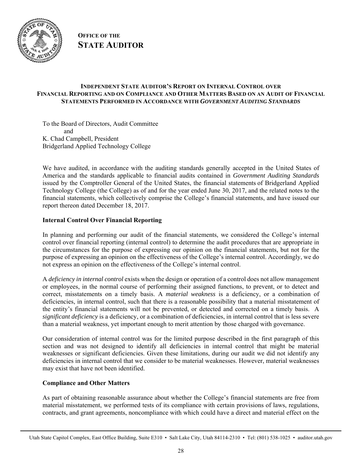

**OFFICE OF THE STATE AUDITOR**

### **INDEPENDENT STATE AUDITOR'S REPORT ON INTERNAL CONTROL OVER FINANCIAL REPORTING AND ON COMPLIANCE AND OTHER MATTERS BASED ON AN AUDIT OF FINANCIAL STATEMENTS PERFORMED IN ACCORDANCE WITH** *GOVERNMENT AUDITING STANDARDS*

To the Board of Directors, Audit Committee and K. Chad Campbell, President Bridgerland Applied Technology College

We have audited, in accordance with the auditing standards generally accepted in the United States of America and the standards applicable to financial audits contained in *Government Auditing Standards*  issued by the Comptroller General of the United States, the financial statements of Bridgerland Applied Technology College (the College) as of and for the year ended June 30, 2017, and the related notes to the financial statements, which collectively comprise the College's financial statements, and have issued our report thereon dated December 18, 2017.

### **Internal Control Over Financial Reporting**

In planning and performing our audit of the financial statements, we considered the College's internal control over financial reporting (internal control) to determine the audit procedures that are appropriate in the circumstances for the purpose of expressing our opinion on the financial statements, but not for the purpose of expressing an opinion on the effectiveness of the College's internal control. Accordingly, we do not express an opinion on the effectiveness of the College's internal control.

A *deficiency in internal control* exists when the design or operation of a control does not allow management or employees, in the normal course of performing their assigned functions, to prevent, or to detect and correct, misstatements on a timely basis. A *material weakness* is a deficiency, or a combination of deficiencies, in internal control, such that there is a reasonable possibility that a material misstatement of the entity's financial statements will not be prevented, or detected and corrected on a timely basis. A *significant deficiency* is a deficiency, or a combination of deficiencies, in internal control that is less severe than a material weakness, yet important enough to merit attention by those charged with governance.

Our consideration of internal control was for the limited purpose described in the first paragraph of this section and was not designed to identify all deficiencies in internal control that might be material weaknesses or significant deficiencies. Given these limitations, during our audit we did not identify any deficiencies in internal control that we consider to be material weaknesses. However, material weaknesses may exist that have not been identified.

### **Compliance and Other Matters**

As part of obtaining reasonable assurance about whether the College's financial statements are free from material misstatement, we performed tests of its compliance with certain provisions of laws, regulations, contracts, and grant agreements, noncompliance with which could have a direct and material effect on the

Utah State Capitol Complex, East Office Building, Suite E310 • Salt Lake City, Utah 84114-2310 • Tel: (801) 538-1025 • auditor.utah.gov